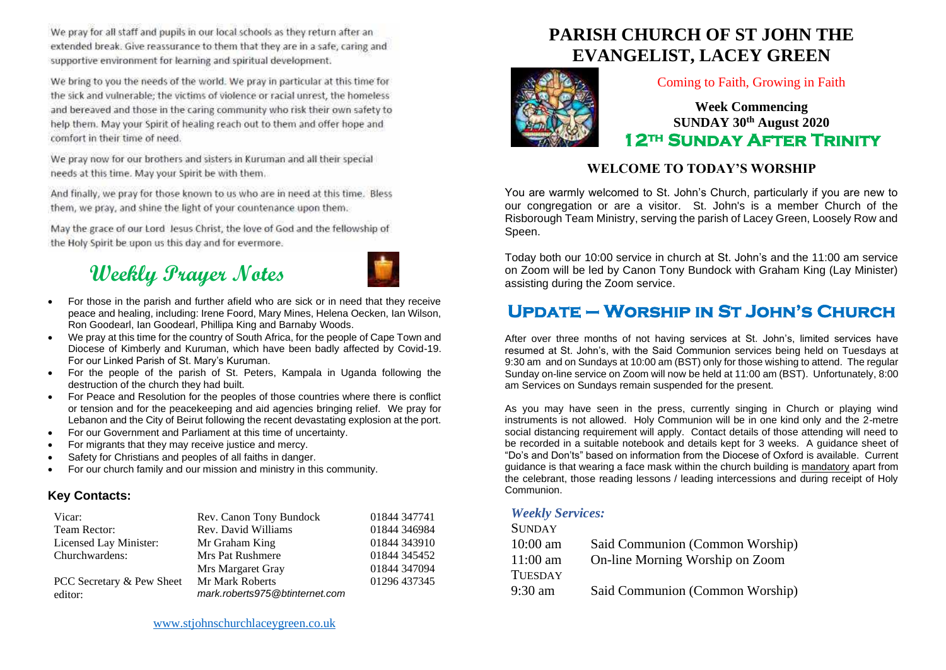We pray for all staff and pupils in our local schools as they return after an extended break. Give reassurance to them that they are in a safe, caring and supportive environment for learning and spiritual development.

We bring to you the needs of the world. We pray in particular at this time for the sick and vulnerable; the victims of violence or racial unrest, the homeless and bereaved and those in the caring community who risk their own safety to help them. May your Spirit of healing reach out to them and offer hope and comfort in their time of need.

We pray now for our brothers and sisters in Kuruman and all their special needs at this time. May your Spirit be with them.

And finally, we pray for those known to us who are in need at this time. Bless them, we pray, and shine the light of your countenance upon them.

May the grace of our Lord Jesus Christ, the love of God and the fellowship of the Holy Spirit be upon us this day and for evermore.

# **Weekly Prayer Notes**



- For those in the parish and further afield who are sick or in need that they receive peace and healing, including: Irene Foord, Mary Mines, Helena Oecken, Ian Wilson, Ron Goodearl, Ian Goodearl, Phillipa King and Barnaby Woods.
- We pray at this time for the country of South Africa, for the people of Cape Town and Diocese of Kimberly and Kuruman, which have been badly affected by Covid-19. For our Linked Parish of St. Mary's Kuruman.
- For the people of the parish of St. Peters, Kampala in Uganda following the destruction of the church they had built.
- For Peace and Resolution for the peoples of those countries where there is conflict or tension and for the peacekeeping and aid agencies bringing relief. We pray for Lebanon and the City of Beirut following the recent devastating explosion at the port.
- For our Government and Parliament at this time of uncertainty.
- For migrants that they may receive justice and mercy.
- Safety for Christians and peoples of all faiths in danger.
- For our church family and our mission and ministry in this community.

### **Key Contacts:**

| Vicar:                               | Rev. Canon Tony Bundock                           | 01844 347741 |
|--------------------------------------|---------------------------------------------------|--------------|
| Team Rector:                         | Rev. David Williams                               | 01844 346984 |
| Licensed Lay Minister:               | Mr Graham King                                    | 01844 343910 |
| Churchwardens:                       | <b>Mrs Pat Rushmere</b>                           | 01844 345452 |
|                                      | Mrs Margaret Gray                                 | 01844 347094 |
| PCC Secretary & Pew Sheet<br>editor: | Mr Mark Roberts<br>mark.roberts975@btinternet.com | 01296 437345 |

# **PARISH CHURCH OF ST JOHN THE EVANGELIST, LACEY GREEN**



### Coming to Faith, Growing in Faith

**Week Commencing SUNDAY 30th August 2020 12th Sunday After Trinity** 

### **WELCOME TO TODAY'S WORSHIP**

You are warmly welcomed to St. John's Church, particularly if you are new to our congregation or are a visitor. St. John's is a member Church of the Risborough Team Ministry, serving the parish of Lacey Green, Loosely Row and Speen.

Today both our 10:00 service in church at St. John's and the 11:00 am service on Zoom will be led by Canon Tony Bundock with Graham King (Lay Minister) assisting during the Zoom service.

# **Update – Worship in St John's Church**

After over three months of not having services at St. John's, limited services have resumed at St. John's, with the Said Communion services being held on Tuesdays at 9:30 am and on Sundays at 10:00 am (BST) only for those wishing to attend. The regular Sunday on-line service on Zoom will now be held at 11:00 am (BST). Unfortunately, 8:00 am Services on Sundays remain suspended for the present.

As you may have seen in the press, currently singing in Church or playing wind instruments is not allowed. Holy Communion will be in one kind only and the 2-metre social distancing requirement will apply. Contact details of those attending will need to be recorded in a suitable notebook and details kept for 3 weeks. A guidance sheet of "Do's and Don'ts" based on information from the Diocese of Oxford is available. Current guidance is that wearing a face mask within the church building is mandatory apart from the celebrant, those reading lessons / leading intercessions and during receipt of Holy Communion.

#### *Weekly Services:*

| <b>SUNDAY</b>  |                                 |
|----------------|---------------------------------|
| $10:00$ am     | Said Communion (Common Worship) |
| $11:00$ am     | On-line Morning Worship on Zoom |
| <b>TUESDAY</b> |                                 |
| 9:30 am        | Said Communion (Common Worship) |